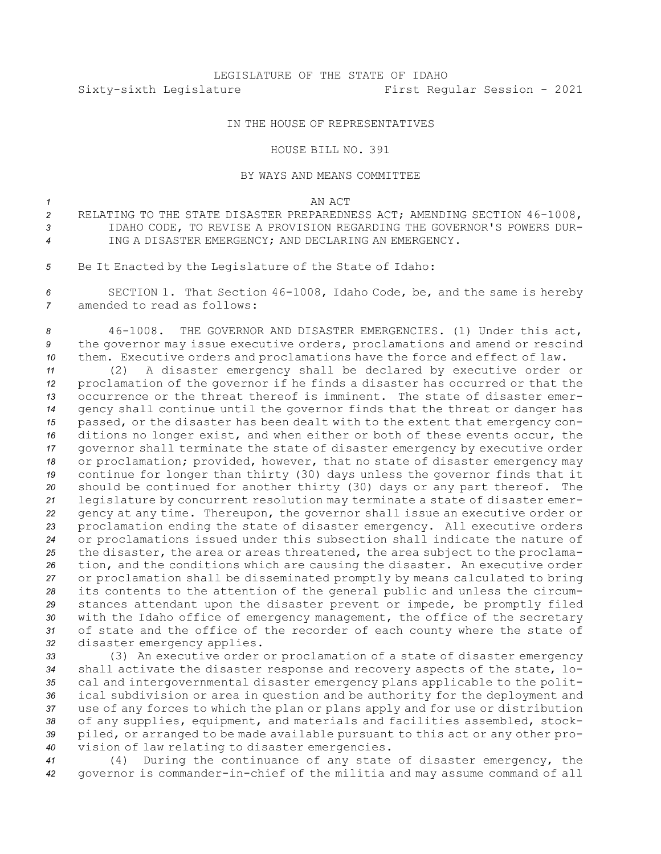## IN THE HOUSE OF REPRESENTATIVES

## HOUSE BILL NO. 391

## BY WAYS AND MEANS COMMITTEE

*1* AN ACT

- *<sup>2</sup>* RELATING TO THE STATE DISASTER PREPAREDNESS ACT; AMENDING SECTION 46-1008, *3* IDAHO CODE, TO REVISE A PROVISION REGARDING THE GOVERNOR'S POWERS DUR-*4* ING A DISASTER EMERGENCY; AND DECLARING AN EMERGENCY.
- *<sup>5</sup>* Be It Enacted by the Legislature of the State of Idaho:

*<sup>6</sup>* SECTION 1. That Section 46-1008, Idaho Code, be, and the same is hereby *7* amended to read as follows:

*<sup>8</sup>* 46-1008. THE GOVERNOR AND DISASTER EMERGENCIES. (1) Under this act, *<sup>9</sup>* the governor may issue executive orders, proclamations and amend or rescind *<sup>10</sup>* them. Executive orders and proclamations have the force and effect of law.

 (2) <sup>A</sup> disaster emergency shall be declared by executive order or proclamation of the governor if he finds <sup>a</sup> disaster has occurred or that the occurrence or the threat thereof is imminent. The state of disaster emer- gency shall continue until the governor finds that the threat or danger has passed, or the disaster has been dealt with to the extent that emergency con- ditions no longer exist, and when either or both of these events occur, the governor shall terminate the state of disaster emergency by executive order or proclamation; provided, however, that no state of disaster emergency may continue for longer than thirty (30) days unless the governor finds that it should be continued for another thirty (30) days or any part thereof. The legislature by concurrent resolution may terminate <sup>a</sup> state of disaster emer- gency at any time. Thereupon, the governor shall issue an executive order or proclamation ending the state of disaster emergency. All executive orders or proclamations issued under this subsection shall indicate the nature of the disaster, the area or areas threatened, the area subject to the proclama- tion, and the conditions which are causing the disaster. An executive order or proclamation shall be disseminated promptly by means calculated to bring its contents to the attention of the general public and unless the circum- stances attendant upon the disaster prevent or impede, be promptly filed with the Idaho office of emergency management, the office of the secretary of state and the office of the recorder of each county where the state of disaster emergency applies.

 (3) An executive order or proclamation of <sup>a</sup> state of disaster emergency shall activate the disaster response and recovery aspects of the state, lo- cal and intergovernmental disaster emergency plans applicable to the polit- ical subdivision or area in question and be authority for the deployment and use of any forces to which the plan or plans apply and for use or distribution of any supplies, equipment, and materials and facilities assembled, stock- piled, or arranged to be made available pursuant to this act or any other pro-vision of law relating to disaster emergencies.

*<sup>41</sup>* (4) During the continuance of any state of disaster emergency, the *<sup>42</sup>* governor is commander-in-chief of the militia and may assume command of all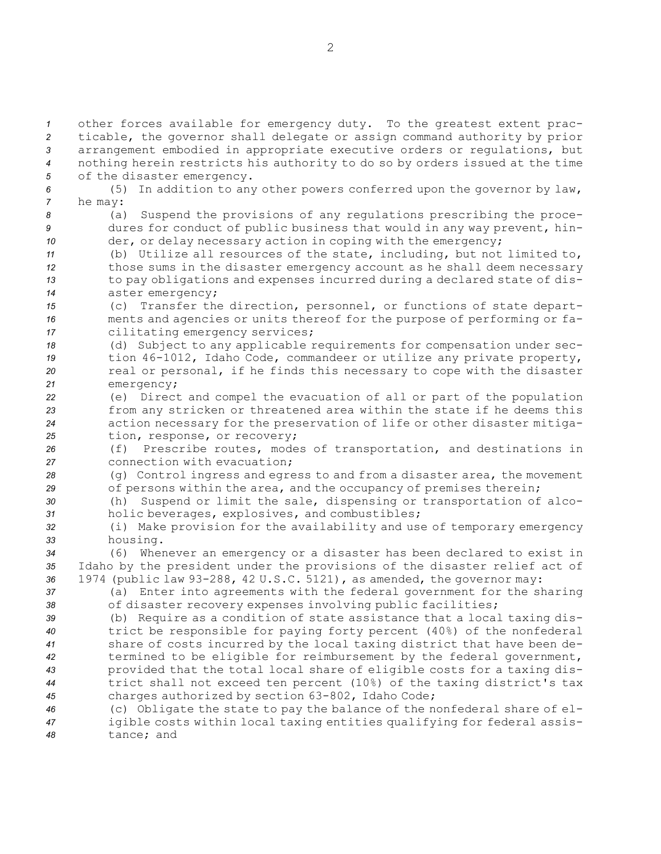other forces available for emergency duty. To the greatest extent prac- ticable, the governor shall delegate or assign command authority by prior arrangement embodied in appropriate executive orders or regulations, but nothing herein restricts his authority to do so by orders issued at the time of the disaster emergency. (5) In addition to any other powers conferred upon the governor by law, *<sup>7</sup>* he may: (a) Suspend the provisions of any regulations prescribing the proce- dures for conduct of public business that would in any way prevent, hin-10 der, or delay necessary action in coping with the emergency; (b) Utilize all resources of the state, including, but not limited to, those sums in the disaster emergency account as he shall deem necessary to pay obligations and expenses incurred during <sup>a</sup> declared state of dis- aster emergency; (c) Transfer the direction, personnel, or functions of state depart- ments and agencies or units thereof for the purpose of performing or fa- cilitating emergency services; (d) Subject to any applicable requirements for compensation under sec- tion 46-1012, Idaho Code, commandeer or utilize any private property, real or personal, if he finds this necessary to cope with the disaster emergency; (e) Direct and compel the evacuation of all or part of the population from any stricken or threatened area within the state if he deems this action necessary for the preservation of life or other disaster mitiga- tion, response, or recovery; (f) Prescribe routes, modes of transportation, and destinations in connection with evacuation; (g) Control ingress and egress to and from <sup>a</sup> disaster area, the movement of persons within the area, and the occupancy of premises therein; (h) Suspend or limit the sale, dispensing or transportation of alco- holic beverages, explosives, and combustibles; (i) Make provision for the availability and use of temporary emergency *<sup>33</sup>* housing. (6) Whenever an emergency or <sup>a</sup> disaster has been declared to exist in Idaho by the president under the provisions of the disaster relief act of 1974 (public law 93-288, 42 U.S.C. 5121), as amended, the governor may: (a) Enter into agreements with the federal government for the sharing of disaster recovery expenses involving public facilities; (b) Require as <sup>a</sup> condition of state assistance that <sup>a</sup> local taxing dis- trict be responsible for paying forty percent (40%) of the nonfederal share of costs incurred by the local taxing district that have been de- termined to be eligible for reimbursement by the federal government, provided that the total local share of eligible costs for <sup>a</sup> taxing dis- trict shall not exceed ten percent (10%) of the taxing district's tax charges authorized by section 63-802, Idaho Code; (c) Obligate the state to pay the balance of the nonfederal share of el- igible costs within local taxing entities qualifying for federal assis-tance; and

2